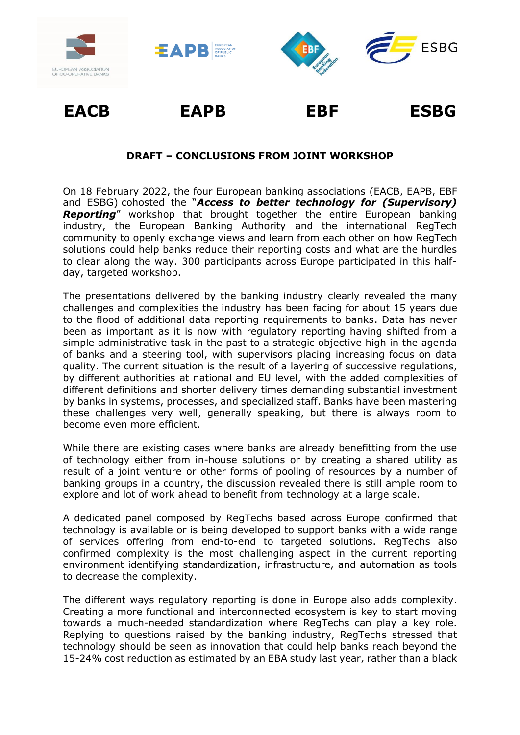

## **DRAFT – CONCLUSIONS FROM JOINT WORKSHOP**

On 18 February 2022, the four European banking associations (EACB, EAPB, EBF and ESBG) cohosted the "*Access to better technology for (Supervisory) Reporting*" workshop that brought together the entire European banking industry, the European Banking Authority and the international RegTech community to openly exchange views and learn from each other on how RegTech solutions could help banks reduce their reporting costs and what are the hurdles to clear along the way. 300 participants across Europe participated in this halfday, targeted workshop.

The presentations delivered by the banking industry clearly revealed the many challenges and complexities the industry has been facing for about 15 years due to the flood of additional data reporting requirements to banks. Data has never been as important as it is now with regulatory reporting having shifted from a simple administrative task in the past to a strategic objective high in the agenda of banks and a steering tool, with supervisors placing increasing focus on data quality. The current situation is the result of a layering of successive regulations, by different authorities at national and EU level, with the added complexities of different definitions and shorter delivery times demanding substantial investment by banks in systems, processes, and specialized staff. Banks have been mastering these challenges very well, generally speaking, but there is always room to become even more efficient.

While there are existing cases where banks are already benefitting from the use of technology either from in-house solutions or by creating a shared utility as result of a joint venture or other forms of pooling of resources by a number of banking groups in a country, the discussion revealed there is still ample room to explore and lot of work ahead to benefit from technology at a large scale.

A dedicated panel composed by RegTechs based across Europe confirmed that technology is available or is being developed to support banks with a wide range of services offering from end-to-end to targeted solutions. RegTechs also confirmed complexity is the most challenging aspect in the current reporting environment identifying standardization, infrastructure, and automation as tools to decrease the complexity.

The different ways regulatory reporting is done in Europe also adds complexity. Creating a more functional and interconnected ecosystem is key to start moving towards a much-needed standardization where RegTechs can play a key role. Replying to questions raised by the banking industry, RegTechs stressed that technology should be seen as innovation that could help banks reach beyond the 15-24% cost reduction as estimated by an EBA study last year, rather than a black